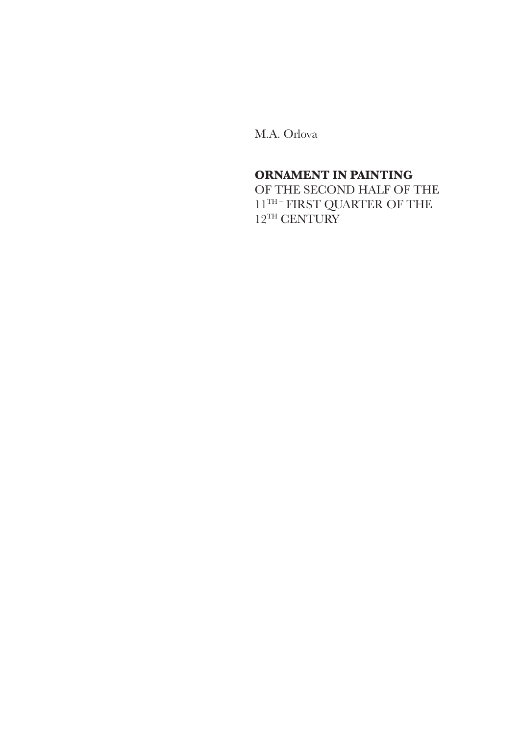M.A. Orlova

# **ORNAMENT IN PAINTING**

OF THE SECOND HALF OF THE  $11^{\text{TH}-}$  FIRST QUARTER OF THE  $12^{TH}$  CENTURY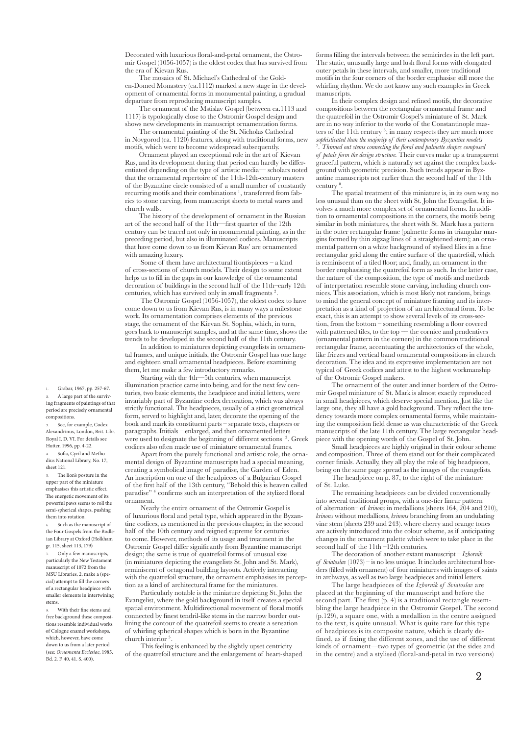Decorated with luxurious floral-and-petal ornament, the Ostromir Gospel (1056-1057) is the oldest codex that has survived from the era of Kievan Rus.

The mosaics of St. Michael's Cathedral of the Golden-Domed Monastery (ca.1112) marked a new stage in the development of ornamental forms in monumental painting, a gradual departure from reproducing manuscript samples.

The ornament of the Mstislav Gospel (between ca.1113 and 1117) is typologically close to the Ostromir Gospel design and shows new developments in manuscript ornamentation forms.

The ornamental painting of the St. Nicholas Cathedral in Novgorod (ca. 1120) features, along with traditional forms, new motifs, which were to become widespread subsequently.

Ornament played an exceptional role in the art of Kievan Rus, and its development during that period can hardly be differentiated depending on the type of artistic media— scholars noted that the ornamental repertoire of the 11th-12th-century masters of the Byzantine circle consisted of a small number of constantly recurring motifs and their combinations<sup>1</sup>, transferred from fabrics to stone carving, from manuscript sheets to metal wares and church walls.

The history of the development of ornament in the Russian art of the second half of the 11th—first quarter of the 12th century can be traced not only in monumental painting, as in the preceding period, but also in illuminated codices. Manuscripts that have come down to us from Kievan Rus' are ornamented with amazing luxury.

 Some of them have architectural frontispieces – a kind of cross-sections of church models. Their design to some extent helps us to fill in the gaps in our knowledge of the ornamental decoration of buildings in the second half of the 11th–early 12th centuries, which has survived only in small fragments 2.

 The Ostromir Gospel (1056-1057), the oldest codex to have come down to us from Kievan Rus, is in many ways a milestone work. Its ornamentation comprises elements of the previous stage, the ornament of the Kievan St. Sophia, which, in turn, goes back to manuscript samples, and at the same time, shows the trends to be developed in the second half of the 11th century.

 In addition to miniatures depicting evangelists in ornamental frames, and unique initials, the Ostromir Gospel has one large and eighteen small ornamental headpieces. Before examining them, let me make a few introductory remarks.

 Starting with the 4th—5th centuries, when manuscript illumination practice came into being, and for the next few centuries, two basic elements, the headpiece and initial letters, were invariably part of Byzantine codex decoration, which was always strictly functional. The headpieces, usually of a strict geometrical form, served to highlight and, later, decorate the opening of the book and mark its constituent parts – separate texts, chapters or paragraphs. Initials – enlarged, and then ornamented letters – were used to designate the beginning of different sections <sup>3</sup>. Greek codices also often made use of miniature ornamental frames.

 Apart from the purely functional and artistic role, the ornamental design of Byzantine manuscripts had a special meaning, creating a symbolical image of paradise, the Garden of Eden. An inscription on one of the headpieces of a Bulgarian Gospel of the first half of the 13th century, "Behold this is heaven called paradise" 4 confirms such an interpretation of the stylized floral ornament.

 Nearly the entire ornament of the Ostromir Gospel is of luxurious floral and petal type, which appeared in the Byzantine codices, as mentioned in the previous chapter, in the second half of the 10th century and reigned supreme for centuries to come. However, methods of its usage and treatment in the Ostromir Gospel differ significantly from Byzantine manuscript design; the same is true of quatrefoil forms of unusual size (in miniatures depicting the evangelists St. John and St. Mark), reminiscent of octagonal building layouts. Actively interacting with the quatrefoil structure, the ornament emphasises its perception as a kind of architectural frame for the miniatures.

 Particularly notable is the miniature depicting St. John the Evangelist, where the gold background in itself creates a special spatial environment. Multidirectional movement of floral motifs connected by finest tendril-like stems in the narrow border outlining the contour of the quatrefoil seems to create a sensation of whirling spherical shapes which is born in the Byzantine church interior 5.

 This feeling is enhanced by the slightly upset centricity of the quatrefoil structure and the enlargement of heart-shaped forms filling the intervals between the semicircles in the left part. The static, unusually large and lush floral forms with elongated outer petals in these intervals, and smaller, more traditional motifs in the four corners of the border emphasise still more the whirling rhythm. We do not know any such examples in Greek manuscripts.

 In their complex design and refined motifs, the decorative compositions between the rectangular ornamental frame and the quatrefoil in the Ostromir Gospel's miniature of St. Mark are in no way inferior to the works of the Constantinople masters of the 11th century 6; in many respects they are much more *sophisticated than the majority of their contemporary Byzantine models*  <sup>7</sup>*. Thinned out stems connecting the floral and palmette shapes composed of petals form the design structure.* Their curves make up a transparent graceful pattern, which is naturally set against the complex background with geometric precision. Such trends appear in Byzantine manuscripts not earlier than the second half of the 11th century <sup>8</sup>*.*

 The spatial treatment of this miniature is, in its own way, no less unusual than on the sheet with St. John the Evangelist. It involves a much more complex set of ornamental forms. In addition to ornamental compositions in the corners, the motifs being similar in both miniatures, the sheet with St. Mark has a pattern in the outer rectangular frame (palmette forms in triangular margins formed by thin zigzag lines of a straightened stem); an ornamental pattern on a white background of stylised lilies in a fine rectangular grid along the entire surface of the quatrefoil, which is reminiscent of a tiled floor; and, finally, an ornament in the border emphasising the quatrefoil form as such. In the latter case, the nature of the composition, the type of motifs and methods of interpretation resemble stone carving, including church cornices. This association, which is most likely not random, brings to mind the general concept of miniature framing and its interpretation as a kind of projection of an architectural form. To be exact, this is an attempt to show several levels of its cross-section, from the bottom – something resembling a floor covered with patterned tiles, to the top —– the cornice and pendentives (ornamental pattern in the corners) in the common traditional rectangular frame, accentuating the architectonics of the whole, like friezes and vertical band ornamental compositions in church decoration. The idea and its expressive implementation are not typical of Greek codices and attest to the highest workmanship of the Ostromir Gospel makers.

The ornament of the outer and inner borders of the Ostromir Gospel miniature of St. Mark is almost exactly reproduced in small headpieces, which deserve special mention. Just like the large one, they all have a gold background. They reflect the tendency towards more complex ornamental forms, while maintaining the composition field dense as was characteristic of the Greek manuscripts of the late 11th century. The large rectangular headpiece with the opening words of the Gospel of St. John.

 Small headpieces are highly original in their colour scheme and composition. Three of them stand out for their complicated corner finials. Actually, they all play the role of big headpieces, being on the same page spread as the images of the evangelists.

 The headpiece on p. 87, to the right of the miniature of St. Luke.

 The remaining headpieces can be divided conventionally into several traditional groups, with a one-tier linear pattern of alternation– of *krinons* in medallions (sheets 164, 204 and 210), *krinons* without medallions, *krinons* branching from an undulating vine stem (sheets 239 and 243). where cherry and orange tones are actively introduced into the colour scheme, as if anticipating changes in the ornament palette which were to take place in the second half of the 11th –12th centuries.

 The decoration of another extant manuscript – *Izbornik of Sviatoslav* (1073) – is no less unique. It includes architectural borders (filled with ornament) of four miniatures with images of saints in archways, as well as two large headpieces and initial letters.

 The large headpieces of the *Izbornik of Sviatoslav* are placed at the beginning of the manuscript and before the second part. The first  $(p, 4)$  is a traditional rectangle resembling the large headpiece in the Ostromir Gospel. The second  $(p.129)$ , a square one, with a medallion in the centre assigned to the text, is quite unusual. What is quite rare for this type of headpieces is its composite nature, which is clearly defined, as if fixing the different zones, and the use of different kinds of ornament—two types of geometric (at the sides and in the centre) and a stylised (floral-and-petal in two versions)

1. Grabar, 1967, pp. 257-67. A large part of the surviving fragments of paintings of that period are precisely ornamental compositions.

See, for example, Codex Alexandrinus, London, Brit. Libr. Royal I. D. VI. For details see Hutter, 1996, pp. 4-22.

Sofia, Cyril and Methodius National Library, No. 17, sheet 121.

The lion's posture in the upper part of the miniature emphasises this artistic effect. The energetic movement of its powerful paws seems to roll the semi-spherical shapes, pushing them into rotation.

Such as the manuscript of the Four Gospels from the Bodleian Library at Oxford (Holkham gr. 115, sheet 113, 179)

Only a few manuscripts, particularly the New Testament manuscript of 1072 from the MSU Libraries, 2, make a (special) attempt to fill the corners of a rectangular headpiece with smaller elements in intertwining stems.

With their fine stems and free background these compositions resemble individual works of Cologne enamel workshops, which, however, have come down to us from a later period (see: *Ornamenta Ecclesiac*, 1985. Bd. 2. F. 40, 41. S. 400).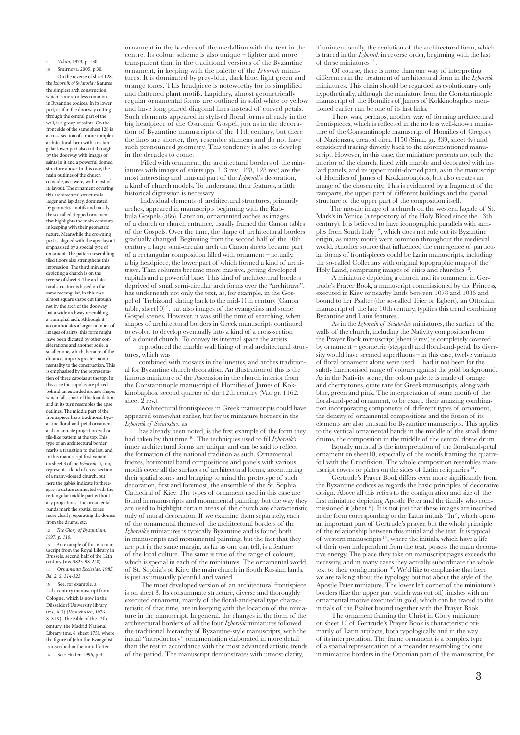9. *Vikan*, 1973, p. 130

10. Smirnova, 2005, p.30.

11. On the reverse of sheet 128, the *Izbornik of Sviatoslav* features the simplest arch construction, which is more or less common in Byzantine codices. In its lower part, as if in the doorway cutting through the central part of the wall, is a group of saints. On the front side of the same sheet 128 is a cross-section of a more complex architectural form with a rectangular lower part also cut through by the doorway with images of saints in it and a powerful domed structure above. In this case, the main outlines of the church coincide, as it were, with most of its layout. The ornament covering this architectural structure is larger and lapidary, dominated by geometric motifs and mostly the so-called stepped ornament that highlights the main contours in keeping with their geometric nature. Meanwhile the crowning part is aligned with the apse layout emphasised by a special type of ornament. The pattern resembling tiled floors also strengthens this impression. The third miniature depicting a church is on the reverse of sheet 3. The architectural structure is based on the same rectangular, in this case almost square shape cut through not by the arch of the doorway but a wide archway resembling a triumphal arch. Although it accommodates a larger number of images of saints, this form might have been dictated by other considerations and another scale, a smaller one, which, because of the distance, imparts greater monumentality to the construction. This is emphasised by the representation of three cupolas at the top. In this case the cupolas are placed behind an extended arcuate shape, which falls short of the foundation and in its turn resembles the apse outlines. The middle part of the frontispiece has a traditional Byzantine floral-and-petal ornament and an arcuate projection with a tile-like pattern at the top. This type of an architectural border marks a transition to the last, and in this manuscript first variant on sheet 3 of the *Izbornik*. It, too, represents a kind of cross-section of a many-domed church, but here the gables indicate its threeapse structure connected with the rectangular middle part without any projections. The ornamental bands mark the spatial zones more clearly, separating the domes from the drums, etc. 12. *The Glory of Byzantium,* 

*1997, p. 110.*

Brussels, second half of the 12th century (ms. 9823-98-240). 14. *Ornamenta Ecclesiae, 1985, Bd, 2. S. 314-323.* 

13. An example of this is a man-uscript from the Royal Library in

15. See, for example, a

12th-century manuscript from Cologne, which is now in the Düsseldorf University library (ms, A.2) (*Vennebusch*, 1976. S. XIX). The Bible of the 12th century, the Madrid National Library (ms. 6. sheet 175), where the figure of John the Evangelist is inscribed in the initial letter. See: Hutter, 1996, p. 4.

ornament in the borders of the medallion with the text in the centre. Its colour scheme is also unique – lighter and more transparent than in the traditional versions of the Byzantine ornament, in keeping with the palette of the *Izbornik* miniatures. It is dominated by grey-blue, dark blue, light green and orange tones. This headpiece is noteworthy for its simplified and flattened plant motifs. Lapidary, almost geometrically regular ornamental forms are outlined in solid white or yellow and have long paired diagonal lines instead of curved petals. Such elements appeared in stylised floral forms already in the big headpiece of the Ostromir Gospel, just as in the decoration of Byzantine manuscripts of the 11th century, but there the lines are shorter, they resemble stamens and do not have such pronounced geometry. This tendency is also to develop in the decades to come.

 Filled with ornament, the architectural borders of the miniatures with images of saints (pp. 3, 3 rev., 128, 128 rev.) are the most interesting and unusual part of the *Izbornik*'s decoration, a kind of church models. To understand their features, a little historical digression is necessary.

 Individual elements of architectural structures, primarily arches, appeared in manuscripts beginning with the Rabbula Gospels (586). Later on, ornamented arches as images of a church or church entrance, usually framed the Canon tables of the Gospels. Over the time, the shape of architectural borders gradually changed. Beginning from the second half of the 10th century a large semi-circular arch on Canon sheets became part of a rectangular composition filled with ornament – actually, a big headpiece, the lower part of which formed a kind of architrave. Thin columns became more massive, getting developed capitals and a powerful base. This kind of architectural borders deprived of small semi-circular arch forms over the "architrave", has underneath not only the text, as, for example, in the Gospel of Trebizond, dating back to the mid-11th century (Canon table, sheet10)<sup>9</sup>, but also images of the evangelists and some Gospel scenes. However, it was still the time of searching, when shapes of architectural borders in Greek manuscripts continued to evolve, to develop eventually into a kind of a cross-section of a domed church. To convey its internal space the artists

reproduced the marble wall lining of real architectural structures, which was

combined with mosaics in the lunettes, and arches traditional for Byzantine church decoration. An illustration of this is the famous miniature of the Ascension in the church interior from the Constantinople manuscript of Homilies of James of Kokkinobaphos, second quarter of the 12th century (Vat. gr. 1162. sheet 2 rev.).

Architectural frontispieces in Greek manuscripts could have appeared somewhat earlier, but for us miniature borders in the *Izbornik of Sviatoslav*, as

has already been noted, is the first example of the form they had taken by that time 10. The techniques used to fill *Izbornik's*  inner architectural forms are unique and can be said to reflect the formation of the national tradition as such. Ornamental friezes, horizontal band compositions and panels with various motifs cover all the surfaces of architectural forms, accentuating their spatial zones and bringing to mind the prototype of such decoration, first and foremost, the ensemble of the St. Sophia Cathedral of Kiev. The types of ornament used in this case are found in manuscripts and monumental painting, but the way they are used to highlight certain areas of the church are characteristic only of mural decoration. If we examine them separately, each of the ornamental themes of the architectural borders of the *Izbornik*'s miniatures is typically Byzantine and is found both in manuscripts and monumental painting, but the fact that they are put in the same margin, as far as one can tell, is a feature of the local culture. The same is true of the range of colours, which is special in each of the miniatures. The ornamental world of St. Sophia's of Kiev, the main church in South Russian lands, is just as unusually plentiful and varied.

 The most developed version of an architectural frontispiece is on sheet 3. Its consummate structure, diverse and thoroughly executed ornament, mainly of the floral-and-petal type characteristic of that time, are in keeping with the location of the miniature in the manuscript. In general, the changes in the form of the architectural borders of all the four *Izbornik* miniatures followed the traditional hierarchy of Byzantine-style manuscripts, with the initial "introductory" ornamentation elaborated in more detail than the rest in accordance with the most advanced artistic trends of the period. The manuscript demonstrates with utmost clarity,

if unintentionally, the evolution of the architectural form, which is traced in the *Izbornik* in reverse order, beginning with the last of these miniatures 11.

 Of course, there is more than one way of interpreting differences in the treatment of architectural form in the *Izbornik* miniatures. This chain should be regarded as evolutionary only hypothetically, although the miniature from the Constantinople manuscript of the Homilies of James of Kokkinobaphos mentioned earlier can be one of its last links.

 There was, perhaps, another way of forming architectural frontispieces, which is reflected in the no less well-known miniature of the Constantinople manuscript of Homilies of Gregory of Nazienzus, created circa 1150 (Sinai, gr. 339, sheet 4v) and considered tracing directly back to the aforementioned manuscript. However, in this case, the miniature presents not only the interior of the church, lined with marble and decorated with inlaid panels, and its upper multi-domed part, as in the manuscript of Homilies of James of Kokkinobaphos, but also creates an image of the chosen city. This is evidenced by a fragment of the ramparts, the upper part of different buildings and the spatial structure of the upper part of the composition itself.

The mosaic image of a church on the western façade of St. Mark's in Venice (a repository of the Holy Blood since the 13th century). It is believed to have iconographic parallels with samples from South Italy <sup>12</sup>, which does not rule out its Byzantine origin, as many motifs were common throughout the medieval world. Another source that influenced the emergence of particular forms of frontispieces could be Latin manuscripts, including the so-called Collectars with original topographic maps of the Holy Land, comprising images of cities and churches

 A miniature depicting a church and its ornament in Gertrude's Prayer Book, a manuscript commissioned by the Princess, executed in Kiev or nearby lands between 1078 and 1086 and bound to her Psalter (the so-called Trier or Egbert), an Ottonian manuscript of the late 10th century, typifies this trend combining Byzantine and Latin features,.

 As in the *Izbornik of Sviatoslav* miniatures, the surface of the walls of the church, including the Nativity composition from the Prayer Book manuscript (sheet 9 rev.) is completely covered by ornament – geometric (stepped) and floral-and-petal. Its diversity would have seemed superfluous – in this case, twelve variants of floral ornament alone were used— had it not been for the subtly harmonised range of colours against the gold background. As in the Nativity scene, the colour palette is made of orange and cherry tones, quite rare for Greek manuscripts, along with blue, green and pink. The interpretation of some motifs of the floral-and-petal ornament, to be exact, their amazing combination incorporating components of different types of ornament, the density of ornamental compositions and the fusion of its elements are also unusual for Byzantine manuscripts. This applies to the vertical ornamental bands in the middle of the small dome drums, the composition in the middle of the central dome drum.

 Equally unusual is the interpretation of the floral-and-petal ornament on sheet10, especially of the motifs framing the quatrefoil with the Crucifixion. The whole composition resembles manuscript covers or plates on the sides of Latin reliquaries 14.

 Gertrude's Prayer Book differs even more significantly from the Byzantine codices as regards the basic principles of decorative design. Above all this refers to the configuration and size of the first miniature depicting Apostle Peter and the family who commissioned it (sheet 5). It is not just that these images are inscribed in the form corresponding to the Latin initials "In", which opens an important part of Gertrude's prayer, but the whole principle of the relationship between this initial and the text. It is typical of western manuscripts 15, where the initials, which have a life of their own independent from the text, possess the main decorative energy. The place they take on manuscript pages exceeds the necessity, and in many cases they actually subordinate the whole text to their configuration 16. We'd like to emphasise that here we are talking about the typology, but not about the style of the Apostle Peter miniature. The lower left corner of the miniature's borders (like the upper part which was cut off) finishes with an ornamental motive executed in gold, which can be traced to the initials of the Psalter bound together with the Prayer Book.

 The ornament framing the Christ in Glory miniature on sheet 10 of Gertrude's Prayer Book is characteristic primarily of Latin artifacts, both typologically and in the way of its interpretation. The frame ornament is a complex type of a spatial representation of a meander resembling the one in miniature borders in the Ottonian part of the manuscript, for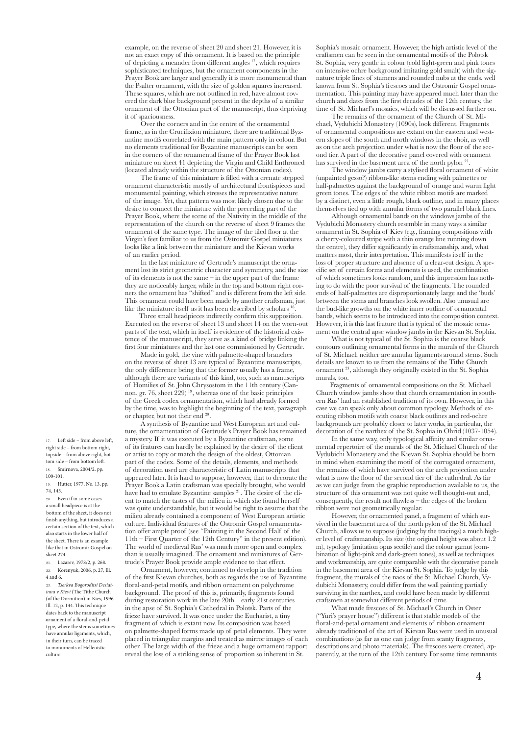example, on the reverse of sheet 20 and sheet 21. However, it is not an exact copy of this ornament. It is based on the principle of depicting a meander from different angles 17, which requires sophisticated techniques, but the ornament components in the Prayer Book are larger and generally it is more monumental than the Psalter ornament, with the size of golden squares increased. These squares, which are not outlined in red, have almost covered the dark blue background present in the depths of a similar ornament of the Ottonian part of the manuscript, thus depriving it of spaciousness.

 Over the corners and in the centre of the ornamental frame, as in the Crucifixion miniature, there are traditional Byzantine motifs correlated with the main pattern only in colour. But no elements traditional for Byzantine manuscripts can be seen in the corners of the ornamental frame of the Prayer Book last miniature on sheet 41 depicting the Virgin and Child Enthroned (located already within the structure of the Ottonian codex).

 The frame of this miniature is filled with a crenate stepped ornament characteristic mostly of architectural frontispieces and monumental painting, which stresses the representative nature of the image. Yet, that pattern was most likely chosen due to the desire to connect the miniature with the preceding part of the Prayer Book, where the scene of the Nativity in the middle of the representation of the church on the reverse of sheet 9 frames the ornament of the same type. The image of the tiled floor at the Virgin's feet familiar to us from the Ostromir Gospel miniatures looks like a link between the miniature and the Kievan works of an earlier period.

 In the last miniature of Gertrude's manuscript the ornament lost its strict geometric character and symmetry, and the size of its elements is not the same – in the upper part of the frame they are noticeably larger, while in the top and bottom right corners the ornament has "shifted" and is different from the left side. This ornament could have been made by another craftsman, just like the miniature itself as it has been described by scholars

Three small headpieces indirectly confirm this supposition. Executed on the reverse of sheet 13 and sheet 14 on the worn-out parts of the text, which in itself is evidence of the historical existence of the manuscript, they serve as a kind of bridge linking the first four miniatures and the last one commissioned by Gertrude.

 Made in gold, the vine with palmette-shaped branches on the reverse of sheet 13 are typical of Byzantine manuscripts, the only difference being that the former usually has a frame, although there are variants of this kind, too, such as manuscripts of Homilies of St. John Chrysostom in the 11th century (Cannon. gr. 76, sheet  $229)$   $^{\rm 19}$ , whereas one of the basic principles of the Greek codex ornamentation, which had already formed by the time, was to highlight the beginning of the text, paragraph or chapter, but not their end 20.

 A synthesis of Byzantine and West European art and culture, the ornamentation of Gertrude's Prayer Book has remained a mystery. If it was executed by a Byzantine craftsman, some of its features can hardly be explained by the desire of the client or artist to copy or match the design of the oldest, Ottonian part of the codex. Some of the details, elements, and methods of decoration used are characteristic of Latin manuscripts that appeared later. It is hard to suppose, however, that to decorate the Prayer Book a Latin craftsman was specially brought, who would have had to emulate Byzantine samples <sup>21</sup>. The desire of the client to match the tastes of the milieu in which she found herself was quite understandable, but it would be right to assume that the milieu already contained a component of West European artistic culture. Individual features of the Ostromir Gospel ornamentation offer ample proof (see "Painting in the Second Half of the 11th – First Quarter of the 12th Century" in the present edition). The world of medieval Rus' was much more open and complex than is usually imagined. The ornament and miniatures of Gertrude's Prayer Book provide ample evidence to that effect.

 Ornament, however, continued to develop in the tradition of the first Kievan churches, both as regards the use of Byzantine floral-and-petal motifs, and ribbon ornament on polychrome background. The proof of this is, primarily, fragments found during restoration work in the late 20th – early 21st centuries in the apse of St. Sophia's Cathedral in Polotsk. Parts of the frieze have survived. It was once under the Eucharist, a tiny fragment of which is extant now. Its composition was based on palmette-shaped forms made up of petal elements. They were placed in triangular margins and treated as mirror images of each other. The large width of the frieze and a huge ornament rapport reveal the loss of a striking sense of proportion so inherent in St.

Sophia's mosaic ornament. However, the high artistic level of the craftsmen can be seen in the ornamental motifs of the Polotsk St. Sophia, very gentle in colour (cold light-green and pink tones on intensive ochre background imitating gold smalt) with the signature triple lines of stamens and rounded nubs at the ends. well known from St. Sophia's frescoes and the Ostromir Gospel ornamentation. This painting may have appeared much later than the church and dates from the first decades of the 12th century, the time of St. Michael's mosaics, which will be discussed further on.

 The remains of the ornament of the Church of St. Michael, Vydubichi Monastery (1090s), look different. Fragments of ornamental compositions are extant on the eastern and western slopes of the south and north windows in the choir, as well as on the arch projection under what is now the floor of the second tier. A part of the decorative panel covered with ornament has survived in the basement area of the north pylon<sup>22</sup>

 The window jambs carry a stylised floral ornament of white (unpainted gesso?) ribbon-like stems ending with palmettes or half-palmettes against the background of orange and warm light green tones. The edges of the white ribbon motifs are marked by a distinct, even a little rough, black outline, and in many places themselves tied up with annular forms of two parallel black lines.

 Although ornamental bands on the windows jambs of the Vydubichi Monastery church resemble in many ways a similar ornament in St. Sophia of Kiev (e.g., framing compositions with a cherry-coloured stripe with a thin orange line running down the centre), they differ significantly in craftsmanship, and, what matters most, their interpretation. This manifests itself in the loss of proper structure and absence of a clear-cut design. A specific set of certain forms and elements is used, the combination of which sometimes looks random, and this impression has nothing to do with the poor survival of the fragments. The rounded ends of half-palmettes are disproportionately large and the 'buds' between the stems and branches look swollen. Also unusual are the bud-like growths on the white inner outline of ornamental bands, which seems to be introduced into the composition context. However, it is this last feature that is typical of the mosaic ornament on the central apse window jambs in the Kievan St. Sophia.

 What is not typical of the St. Sophia is the coarse black contours outlining ornamental forms in the murals of the Church of St. Michael; neither are annular ligaments around stems. Such details are known to us from the remains of the Tithe Church ornament 23, although they originally existed in the St. Sophia murals, too.

Fragments of ornamental compositions on the St. Michael Church window jambs show that church ornamentation in southern Rus' had an established tradition of its own. However, in this case we can speak only about common typology. Methods of executing ribbon motifs with coarse black outlines and red-ochre backgrounds are probably closer to later works, in particular, the decoration of the narthex of the St. Sophia in Ohrid (1037-1054).

 In the same way, only typological affinity and similar ornamental repertoire of the murals of the St. Michael Church of the Vydubichi Monastery and the Kievan St. Sophia should be born in mind when examining the motif of the corrugated ornament, the remains of which have survived on the arch projection under what is now the floor of the second tier of the cathedral. As far as we can judge from the graphic reproduction available to us, the structure of this ornament was not quite well thought-out and, consequently, the result not flawless – the edges of the broken ribbon were not geometrically regular.

 However, the ornamented panel, a fragment of which survived in the basement area of the north pylon of the St. Michael Church, allows us to suppose (judging by the tracings) a much higher level of craftsmanship. Its size (the original height was about 1.2 m), typology (imitation opus sectile) and the colour gamut (combination of light-pink and dark-green tones), as well as techniques and workmanship, are quite comparable with the decorative panels in the basement area of the Kievan St. Sophia. To judge by this fragment, the murals of the naos of the St. Michael Church, Vydubichi Monastery, could differ from the wall painting partially surviving in the narthex, and could have been made by different craftsmen at somewhat different periods of time.

 What made frescoes of St. Michael's Church in Oster ("Yuri's prayer house") different is that stable models of the floral-and-petal ornament and elements of ribbon ornament already traditional of the art of Kievan Rus were used in unusual combinations (as far as one can judge from scanty fragments, descriptions and photo materials). The frescoes were created, apparently, at the turn of the 12th century. For some time remnants

Left side – from above left right side – from bottom right, topside – from above right, bottom side – from bottom left. 18. Smirnova, 2004/2. pp.

- 100-101.
- 19. Hutter, 1977, No. 13, pp. 74, 145.

20. Even if in some cases a small headpiece is at the bottom of the sheet, it does not finish anything, but introduces a certain section of the text, which also starts in the lower half of the sheet. There is an example like that in Ostromir Gospel on sheet 274.

21. Lazarev, 1978/2, p. 268. 22. Korenyuk, 2006, p. 27, Ill. 4 and 6.

23. *Tserkva Bogoroditsi Desiatinna v Kievi* (The Tithe Church (of the Dormition) in Kiev, 1996. Ill. 12, p. 144. This technique dates back to the manuscript ornament of a floral-and-petal type, where the stems sometimes have annular ligaments, which, in their turn, can be traced to monuments of Hellenistic culture.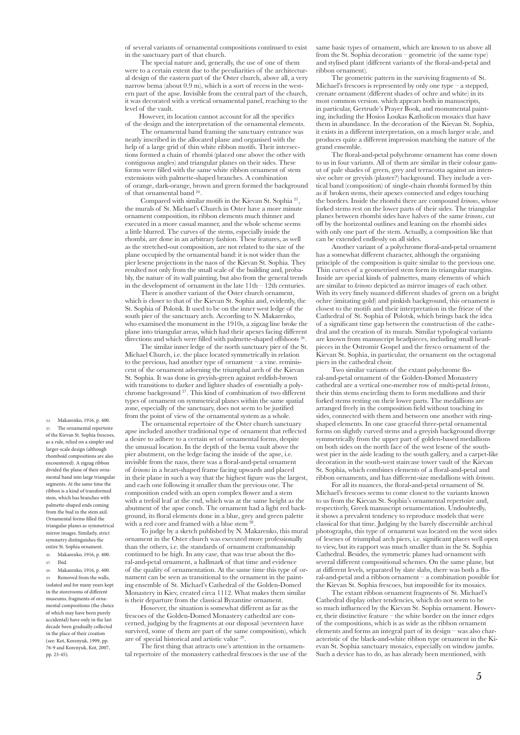of several variants of ornamental compositions continued to exist in the sanctuary part of that church.

 The special nature and, generally, the use of one of them were to a certain extent due to the peculiarities of the architectural design of the eastern part of the Oster church, above all, a very narrow bema (about  $0.9$  m), which is a sort of recess in the western part of the apse. Invisible from the central part of the church, it was decorated with a vertical ornamental panel, reaching to the level of the vault.

However, its location cannot account for all the specifics of the design and the interpretation of the ornamental elements.

 The ornamental band framing the sanctuary entrance was neatly inscribed in the allocated plane and organised with the help of a large grid of thin white ribbon motifs. Their intersections formed a chain of rhombi (placed one above the other with contiguous angles) and triangular planes on their sides. These forms were filled with the same white ribbon ornament of stem extensions with palmette-shaped branches. A combination of orange, dark-orange, brown and green formed the background of that ornamental band 24.

 Compared with similar motifs in the Kievan St. Sophia 25, the murals of St. Michael's Church in Oster have a more minute ornament composition, its ribbon elements much thinner and executed in a more casual manner, and the whole scheme seems a little blurred. The curves of the stems, especially inside the rhombi, are done in an arbitrary fashion. These features, as well as the stretched-out composition, are not related to the size of the plane occupied by the ornamental band: it is not wider than the pier lesene projections in the naos of the Kievan St. Sophia. They resulted not only from the small scale of the building and, probably, the nature of its wall painting, but also from the general trends in the development of ornament in the late 11th – 12th centuries.

 There is another variant of the Oster church ornament, which is closer to that of the Kievan St. Sophia and, evidently, the St. Sophia of Polotsk. It used to be on the inner west ledge of the south pier of the sanctuary arch. According to N. Makarenko, who examined the monument in the 1910s, a zigzag line broke the plane into triangular areas, which had their apexes facing different directions and which were filled with palmette-shaped offshoots<sup>26</sup>

 The similar inner ledge of the north sanctuary pier of the St. Michael Church, i.e. the place located symmetrically in relation to the previous, had another type of ornament – a vine. reminiscent of the ornament adorning the triumphal arch of the Kievan St. Sophia. It was done in greyish-green against reddish-brown with transitions to darker and lighter shades of essentially a polychrome background 27. This kind of combination of two different types of ornament on symmetrical planes within the same spatial zone, especially of the sanctuary, does not seem to be justified from the point of view of the ornamental system as a whole.

 The ornamental repertoire of the Oster church sanctuary apse included another traditional type of ornament that reflected a desire to adhere to a certain set of ornamental forms, despite the unusual location. In the depth of the bema vault above the pier abutment, on the ledge facing the inside of the apse, i.e. invisible from the naos, there was a floral-and-petal ornament of *krinons* in a heart-shaped frame facing upwards and placed in their plane in such a way that the highest figure was the largest, and each one following it smaller than the previous one. The composition ended with an open complex flower and a stem with a trefoil leaf at the end, which was at the same height as the abutment of the apse conch. The ornament had a light red background, its floral elements done in a blue, grey and green palette with a red core and framed with a blue stem <sup>28</sup>

 To judge by a sketch published by N. Makarenko, this mural ornament in the Oster church was executed more professionally than the others, i.e. the standards of ornament craftsmanship continued to be high. In any case, that was true about the floral-and-petal ornament, a hallmark of that time and evidence of the quality of ornamentation. At the same time this type of ornament can be seen as transitional to the ornament in the painting ensemble of St. Michael's Cathedral of the Golden-Domed Monastery in Kiev, created circa 1112. What makes them similar is their departure from the classical Byzantine ornament.

 However, the situation is somewhat different as far as the frescoes of the Golden-Domed Monastery cathedral are concerned, judging by the fragments at our disposal (seventeen have survived, some of them are part of the same composition), which are of special historical and artistic value 29.

 The first thing that attracts one's attention in the ornamental repertoire of the monastery cathedral frescoes is the use of the same basic types of ornament, which are known to us above all from the St. Sophia decoration – geometric (of the same type) and stylised plant (different variants of the floral-and-petal and ribbon ornament).

 The geometric pattern in the surviving fragments of St. Michael's frescoes is represented by only one type – a stepped, crenate ornament (different shades of ochre and white) in its most common version. which appears both in manuscripts, in particular, Gertrude's Prayer Book, and monumental painting, including the Hosios Loukas Katholicon mosaics that have them in abundance. In the decoration of the Kievan St. Sophia, it exists in a different interpretation, on a much larger scale, and produces quite a different impression matching the nature of the grand ensemble.

 The floral-and-petal polychrome ornament has come down to us in four variants. All of them are similar in their colour gamut of pale shades of green, grey and terracotta against an intensive ochre or greyish (plaster?) background. They include a vertical band (composition) of single-chain rhombi formed by thin as if broken stems, their apexes connected and edges touching the borders. Inside the rhombi there are compound *krinons*, whose forked stems rest on the lower parts of their sides. The triangular planes between rhombi sides have halves of the same *krinons*, cut off by the horizontal outlines and leaning on the rhombi sides with only one part of the stem. Actually, a composition like that can be extended endlessly on all sides.

 Another variant of a polychrome floral-and-petal ornament has a somewhat different character, although the organising principle of the composition is quite similar to the previous one. Thin curves of a geometrised stem form its triangular margins. Inside are special kinds of palmettes, many elements of which are similar to *krinons* depicted as mirror images of each other. With its very finely nuanced different shades of green on a bright ochre (imitating gold) and pinkish background, this ornament is closest to the motifs and their interpretation in the frieze of the Cathedral of St. Sophia of Polotsk, which brings back the idea of a significant time gap between the construction of the cathedral and the creation of its murals. Similar typological variants are known from manuscript headpieces, including small headpieces in the Ostromir Gospel and the fresco ornament of the Kievan St. Sophia, in particular, the ornament on the octagonal piers in the cathedral choir.

 Two similar variants of the extant polychrome floral-and-petal ornament of the Golden-Domed Monastery cathedral are a vertical one-member row of multi-petal *krinons*, their thin stems encircling them to form medallions and their forked stems resting on their lower parts. The medallions are arranged freely in the composition field without touching its sides, connected with them and between one another with ringshaped elements. In one case graceful three-petal ornamental forms on slightly curved stems and a greyish background diverge symmetrically from the upper part of golden-based medallions on both sides on the north face of the west lesene of the southwest pier in the aisle leading to the south gallery, and a carpet-like decoration in the south-west staircase tower vault of the Kievan St. Sophia, which combines elements of a floral-and-petal and ribbon ornaments, and has different-size medallions with *krinons*.

 For all its nuances, the floral-and-petal ornament of St. Michael's frescoes seems to come closest to the variants known to us from the Kievan St. Sophia's ornamental repertoire and, respectively, Greek manuscript ornamentation. Undoubtedly, it shows a prevalent tendency to reproduce models that were classical for that time. Judging by the barely discernible archival photographs, this type of ornament was located on the west sides of lesenes of triumphal arch piers, i.e. significant places well open to view, but its rapport was much smaller than in the St. Sophia Cathedral. Besides, the symmetric planes had ornament with several different compositional schemes. On the same plane, but at different levels, separated by slate slabs, there was both a floral-and-petal and a ribbon ornament – a combination possible for the Kievan St. Sophia frescoes, but impossible for its mosaics.

 The extant ribbon ornament fragments of St. Michael's Cathedral display other tendencies, which do not seem to be so much influenced by the Kievan St. Sophia ornament. However, their distinctive feature – the white border on the inner edges of the compositions, which is as wide as the ribbon ornament elements and forms an integral part of its design – was also characteristic of the black-and-white ribbon type ornament in the Kievan St. Sophia sanctuary mosaics, especially on window jambs. Such a device has to do, as has already been mentioned, with

24. Makarenko, 1916, p. 400. 25. The ornamental repertoire of the Kievan St. Sophia frescoes, as a rule, relied on a simpler and larger-scale design (although rhomboid compositions are also encountered). A zigzag ribbon divided the plane of their ornamental band into large triangular segments. At the same time the ribbon is a kind of transformed stem, which has branches with palmette-shaped ends coming from the bud in the stem axil. Ornamental forms filled the triangular planes as symmetrical mirror images. Similarly, strict symmetry distinguishes the entire St. Sophia ornament.

- 26. Makarenko, 1916, p. 400. 27. Ibid.
- 

28. Makarenko, 1916, p. 400. Removed from the walls, isolated and for many years kept in the storerooms of different museums, fragments of ornamental compositions (the choice of which may have been purely accidental) have only in the last decade been gradually collected in the place of their creation (see: Kot, Korenyuk, 1999, pp. 76-9 and Korenyuk, Kot, 2007, pp. 23-45).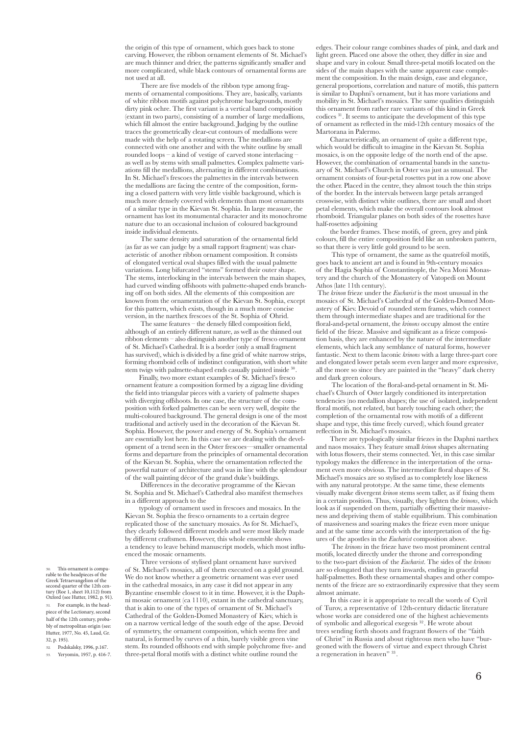the origin of this type of ornament, which goes back to stone carving. However, the ribbon ornament elements of St. Michael's are much thinner and drier, the patterns significantly smaller and more complicated, while black contours of ornamental forms are not used at all.

 There are five models of the ribbon type among fragments of ornamental compositions. They are, basically, variants of white ribbon motifs against polychrome backgrounds, mostly dirty pink ochre. The first variant is a vertical band composition (extant in two parts), consisting of a number of large medallions, which fill almost the entire background. Judging by the outline traces the geometrically clear-cut contours of medallions were made with the help of a rotating screen. The medallions are connected with one another and with the white outline by small rounded loops – a kind of vestige of carved stone interlacing – as well as by stems with small palmettes. Complex palmette variations fill the medallions, alternating in different combinations. In St. Michael's frescoes the palmettes in the intervals between the medallions are facing the centre of the composition, forming a closed pattern with very little visible background, which is much more densely covered with elements than most ornaments of a similar type in the Kievan St. Sophia. In large measure, the ornament has lost its monumental character and its monochrome nature due to an occasional inclusion of coloured background inside individual elements.

 The same density and saturation of the ornamental field (as far as we can judge by a small rapport fragment) was characteristic of another ribbon ornament composition. It consists of elongated vertical oval shapes filled with the usual palmette variations. Long bifurcated "stems" formed their outer shape. The stems, interlocking in the intervals between the main shapes, had curved winding offshoots with palmette-shaped ends branching off on both sides. All the elements of this composition are known from the ornamentation of the Kievan St. Sophia, except for this pattern, which exists, though in a much more concise version, in the narthex frescoes of the St. Sophia of Ohrid.

 The same features – the densely filled composition field, although of an entirely different nature, as well as the thinned out ribbon elements – also distinguish another type of fresco ornament of St. Michael's Cathedral. It is a border (only a small fragment has survived), which is divided by a fine grid of white narrow strips, forming rhomboid cells of indistinct configuration, with short white stem twigs with palmette-shaped ends casually painted inside 30

Finally, two more extant examples of St. Michael's fresco ornament feature a composition formed by a zigzag line dividing the field into triangular pieces with a variety of palmette shapes with diverging offshoots. In one case, the structure of the composition with forked palmettes can be seen very well, despite the multi-coloured background. The general design is one of the most traditional and actively used in the decoration of the Kievan St. Sophia. However, the power and energy of St. Sophia's ornament are essentially lost here. In this case we are dealing with the development of a trend seen in the Oster frescoes—smaller ornamental forms and departure from the principles of ornamental decoration of the Kievan St. Sophia, where the ornamentation reflected the powerful nature of architecture and was in line with the splendour of the wall painting décor of the grand duke's buildings.

 Differences in the decorative programme of the Kievan St. Sophia and St. Michael's Cathedral also manifest themselves in a different approach to the

typology of ornament used in frescoes and mosaics. In the Kievan St. Sophia the fresco ornaments to a certain degree replicated those of the sanctuary mosaics. As for St. Michael's, they clearly followed different models and were most likely made by different craftsmen. However, this whole ensemble shows a tendency to leave behind manuscript models, which most influenced the mosaic ornaments.

 Three versions of stylised plant ornament have survived of St. Michael's mosaics, all of them executed on a gold ground. We do not know whether a geometric ornament was ever used in the cathedral mosaics, in any case it did not appear in any Byzantine ensemble closest to it in time. However, it is the Daphni mosaic ornament (ca 1110), extant in the cathedral sanctuary, that is akin to one of the types of ornament of St. Michael's Cathedral of the Golden-Domed Monastery of Kiev, which is on a narrow vertical ledge of the south edge of the apse. Devoid of symmetry, the ornament composition, which seems free and natural, is formed by curves of a thin, barely visible green vine stem. Its rounded offshoots end with simple polychrome five- and three-petal floral motifs with a distinct white outline round the

edges. Their colour range combines shades of pink, and dark and light green. Placed one above the other, they differ in size and shape and vary in colour. Small three-petal motifs located on the sides of the main shapes with the same apparent ease complement the composition. In the main design, ease and elegance, general proportions, correlation and nature of motifs, this pattern is similar to Daphni's ornament, but it has more variations and mobility in St. Michael's mosaics. The same qualities distinguish this ornament from rather rare variants of this kind in Greek codices 31. It seems to anticipate the development of this type of ornament as reflected in the mid-12th century mosaics of the Martorana in Palermo.

Characteristically, an ornament of quite a different type, which would be difficult to imagine in the Kievan St. Sophia mosaics, is on the opposite ledge of the north end of the apse. However, the combination of ornamental bands in the sanctuary of St. Michael's Church in Oster was just as unusual. The ornament consists of four-petal rosettes put in a row one above the other. Placed in the centre, they almost touch the thin strips of the border. In the intervals between large petals arranged crosswise, with distinct white outlines, there are small and short petal elements, which make the overall contours look almost rhomboid. Triangular planes on both sides of the rosettes have half-rosettes adjoining

the border frames. These motifs, of green, grey and pink colours, fill the entire composition field like an unbroken pattern, so that there is very little gold ground to be seen.

This type of ornament, the same as the quatrefoil motifs, goes back to ancient art and is found in 9th-century mosaics of the Hagia Sophia of Constantinople, the Nea Moni Monastery and the church of the Monastery of Vatopedi on Mount Athos (late 11th century).

 The *krinon* frieze under the *Eucharist* is the most unusual in the mosaics of St. Michael's Cathedral of the Golden-Domed Monastery of Kiev. Devoid of rounded stem frames, which connect them through intermediate shapes and are traditional for the floral-and-petal ornament, the *krinons* occupy almost the entire field of the frieze. Massive and significant as a frieze composition basis, they are enhanced by the nature of the intermediate elements, which lack any semblance of natural forms, however fantastic. Next to them laconic *krinons* with a large three-part core and elongated lower petals seem even larger and more expressive, all the more so since they are painted in the "heavy" dark cherry and dark green colours.

 The location of the floral-and-petal ornament in St. Michael's Church of Oster largely conditioned its interpretation tendencies (no medallion shapes; the use of isolated, independent floral motifs, not related, but barely touching each other; the completion of the ornamental row with motifs of a different shape and type, this time freely curved), which found greater reflection in St. Michael's mosaics.

There are typologically similar friezes in the Daphni narthex and naos mosaics. They feature small *krinon* shapes alternating with lotus flowers, their stems connected. Yet, in this case similar typology makes the difference in the interpretation of the ornament even more obvious. The intermediate floral shapes of St. Michael's mosaics are so stylised as to completely lose likeness with any natural prototype. At the same time, these elements visually make divergent *krinon* stems seem taller, as if fixing them in a certain position. Thus, visually, they lighten the *krinons*, which look as if suspended on them, partially offsetting their massiveness and depriving them of stable equilibrium. This combination of massiveness and soaring makes the frieze even more unique and at the same time accords with the interpretation of the figures of the apostles in the *Eucharist* composition above.

 The *krinons* in the frieze have two most prominent central motifs, located directly under the throne and corresponding to the two-part division of the *Eucharist*. The sides of the *krinons* are so elongated that they turn inwards, ending in graceful half-palmettes. Both these ornamental shapes and other components of the frieze are so extraordinarily expressive that they seem almost animate.

In this case it is appropriate to recall the words of Cyril of Turov, a representative of 12th-century didactic literature whose works are considered one of the highest achievements of symbolic and allegorical exegesis 32 . He wrote about trees sending forth shoots and fragrant flowers of the "faith of Christ" in Russia and about righteous men who have "burgeoned with the flowers of virtue and expect through Christ a regeneration in heaven" 33 .

This ornament is comparable to the headpieces of the Greek Tetraevangelion of the second quarter of the 12th century (Roe 1, sheet 10,112) from Oxford (see Hutter, 1982, p. 91). 31. For example, in the headpiece of the Lectionary, second half of the 12th century, probably of metropolitan origin (see: Hutter, 1977, No. 45, Laud, Gr. 32, p. 195).

32. Podskalsky, 1996, p.167.

33. Yeryomin, 1957, p. 416-7.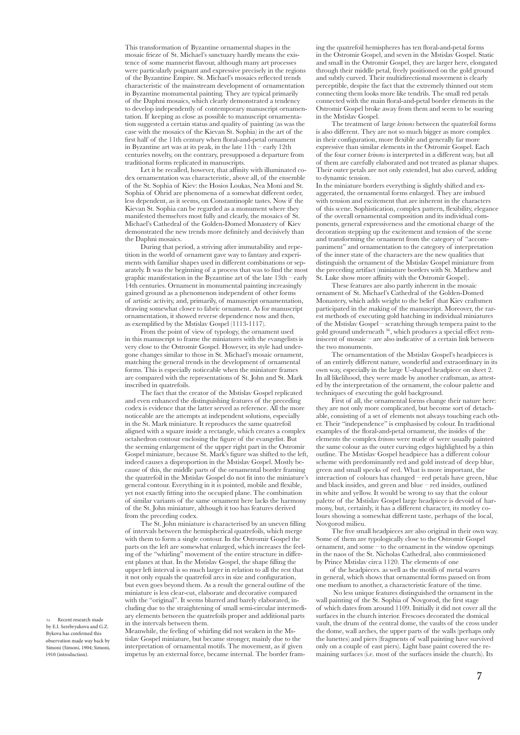This transformation of Byzantine ornamental shapes in the mosaic frieze of St. Michael's sanctuary hardly means the existence of some mannerist flavour, although many art processes were particularly poignant and expressive precisely in the regions of the Byzantine Empire. St. Michael's mosaics reflected trends characteristic of the mainstream development of ornamentation in Byzantine monumental painting. They are typical primarily of the Daphni mosaics, which clearly demonstrated a tendency to develop independently of contemporary manuscript ornamentation. If keeping as close as possible to manuscript ornamentation suggested a certain status and quality of painting (as was the case with the mosaics of the Kievan St. Sophia) in the art of the first half of the 11th century when floral-and-petal ornament in Byzantine art was at its peak, in the late  $11th$  – early 12th centuries novelty, on the contrary, presupposed a departure from traditional forms replicated in manuscripts.

 Let it be recalled, however, that affinity with illuminated codex ornamentation was characteristic, above all, of the ensemble of the St. Sophia of Kiev: the Hosios Loukas, Nea Moni and St. Sophia of Ohrid are phenomena of a somewhat different order, less dependent, as it seems, on Constantinople tastes. Now if the Kievan St. Sophia can be regarded as a monument where they manifested themselves most fully and clearly, the mosaics of St. Michael's Cathedral of the Golden-Domed Monastery of Kiev demonstrated the new trends more definitely and decisively than the Daphni mosaics.

 During that period, a striving after immutability and repetition in the world of ornament gave way to fantasy and experiments with familiar shapes used in different combinations or separately. It was the beginning of a process that was to find the most graphic manifestation in the Byzantine art of the late 13th – early 14th centuries. Ornament in monumental painting increasingly gained ground as a phenomenon independent of other forms of artistic activity, and, primarily, of manuscript ornamentation, drawing somewhat closer to fabric ornament. As for manuscript ornamentation, it showed reverse dependence now and then, as exemplified by the Mstislav Gospel (1113-1117).

 From the point of view of typology, the ornament used in this manuscript to frame the miniatures with the evangelists is very close to the Ostromir Gospel. However, its style had undergone changes similar to those in St. Michael's mosaic ornament, matching the general trends in the development of ornamental forms. This is especially noticeable when the miniature frames are compared with the representations of St. John and St. Mark inscribed in quatrefoils.

 The fact that the creator of the Mstislav Gospel replicated and even enhanced the distinguishing features of the preceding codex is evidence that the latter served as reference. All the more noticeable are the attempts at independent solutions, especially in the St. Mark miniature. It reproduces the same quatrefoil aligned with a square inside a rectangle, which creates a complex octahedron contour enclosing the figure of the evangelist. But the seeming enlargement of the upper right part in the Ostromir Gospel miniature, because St. Mark's figure was shifted to the left, indeed causes a disproportion in the Mstislav Gospel. Mostly because of this, the middle parts of the ornamental border framing the quatrefoil in the Mstislav Gospel do not fit into the miniature's general contour. Everything in it is pointed, mobile and flexible, yet not exactly fitting into the occupied plane. The combination of similar variants of the same ornament here lacks the harmony of the St. John miniature, although it too has features derived from the preceding codex.

 The St. John miniature is characterised by an uneven filling of intervals between the hemispherical quatrefoils, which merge with them to form a single contour. In the Ostromir Gospel the parts on the left are somewhat enlarged, which increases the feeling of the "whirling" movement of the entire structure in different planes at that. In the Mstislav Gospel, the shape filling the upper left interval is so much larger in relation to all the rest that it not only equals the quatrefoil arcs in size and configuration, but even goes beyond them. As a result the general outline of the miniature is less clear-cut, elaborate and decorative compared with the "original". It seems blurred and barely elaborated, including due to the straightening of small semi-circular intermediary elements between the quatrefoils proper and additional parts in the intervals between them.

Meanwhile, the feeling of whirling did not weaken in the Mstislav Gospel miniature, but became stronger, mainly due to the interpretation of ornamental motifs. The movement, as if given impetus by an external force, became internal. The border framing the quatrefoil hemispheres has ten floral-and-petal forms in the Ostromir Gospel, and seven in the Mstislav Gospel. Static and small in the Ostromir Gospel, they are larger here, elongated through their middle petal, freely positioned on the gold ground and subtly curved. Their multidirectional movement is clearly perceptible, despite the fact that the extremely thinned out stem connecting them looks more like tendrils. The small red petals connected with the main floral-and-petal border elements in the Ostromir Gospel broke away from them and seem to be soaring in the Mstislav Gospel.

 The treatment of large *krinons* between the quatrefoil forms is also different. They are not so much bigger as more complex in their configuration, more flexible and generally far more expressive than similar elements in the Ostromir Gospel. Each of the four corner *krinons* is interpreted in a different way, but all of them are carefully elaborated and not treated as planar shapes. Their outer petals are not only extended, but also curved, adding to dynamic tension.

In the miniature borders everything is slightly shifted and exaggerated, the ornamental forms enlarged. They are imbued with tension and excitement that are inherent in the characters of this scene. Sophistication, complex pattern, flexibility, elegance of the overall ornamental composition and its individual components, general expressiveness and the emotional charge of the decoration stepping up the excitement and tension of the scene and transforming the ornament from the category of "accompaniment" and ornamentation to the category of interpretation of the inner state of the characters are the new qualities that distinguish the ornament of the Mstislav Gospel miniature from the preceding artifact (miniature borders with St. Matthew and St. Luke show more affinity with the Ostromir Gospel).

 These features are also partly inherent in the mosaic ornament of St. Michael's Cathedral of the Golden-Domed Monastery, which adds weight to the belief that Kiev craftsmen participated in the making of the manuscript. Moreover, the rarest methods of executing gold hatching in individual miniatures of the Mstislav Gospel – scratching through tempera paint to the gold ground underneath 34, which produces a special effect reminiscent of mosaic – are also indicative of a certain link between the two monuments.

The ornamentation of the Mstislav Gospel's headpieces is of an entirely different nature, wonderful and extraordinary in its own way, especially in the large U-shaped headpiece on sheet 2. In all likelihood, they were made by another craftsman, as attested by the interpretation of the ornament, the colour palette and techniques of executing the gold background.

 First of all, the ornamental forms change their nature here: they are not only more complicated, but become sort of detachable, consisting of a set of elements not always touching each other. Their "independence" is emphasised by colour. In traditional examples of the floral-and-petal ornament, the insides of the elements the complex *krinons* were made of were usually painted the same colour as the outer curving edges highlighted by a thin outline. The Mstislav Gospel headpiece has a different colour scheme with predominantly red and gold instead of deep blue, green and small specks of red. What is more important, the interaction of colours has changed – red petals have green, blue and black insides, and green and blue – red insides, outlined in white and yellow. It would be wrong to say that the colour palette of the Mstislav Gospel large headpiece is devoid of harmony, but, certainly, it has a different character, its motley colours showing a somewhat different taste, perhaps of the local, Novgorod milieu.

 The five small headpieces are also original in their own way. Some of them are typologically close to the Ostromir Gospel ornament, and some – to the ornament in the window openings in the naos of the St. Nicholas Cathedral, also commissioned by Prince Mstislav circa 1120. The elements of one

of the headpieces. as well as the motifs of metal wares in general, which shows that ornamental forms passed on from one medium to another, a characteristic feature of the time.

No less unique features distinguished the ornament in the wall painting of the St. Sophia of Novgorod, the first stage of which dates from around 1109. Initially it did not cover all the surfaces in the church interior. Frescoes decorated the domical vault, the drum of the central dome, the vaults of the cross under the dome, wall arches, the upper parts of the walls (perhaps only the lunettes) and piers (fragments of wall painting have survived only on a couple of east piers). Light base paint covered the remaining surfaces (i.e. most of the surfaces inside the church). Its

Recent research made by E.I. Serebryakova and G.Z. Bykova has confirmed this observation made way back by Simoni (Simoni, 1904; Simoni, 1910 (introduction).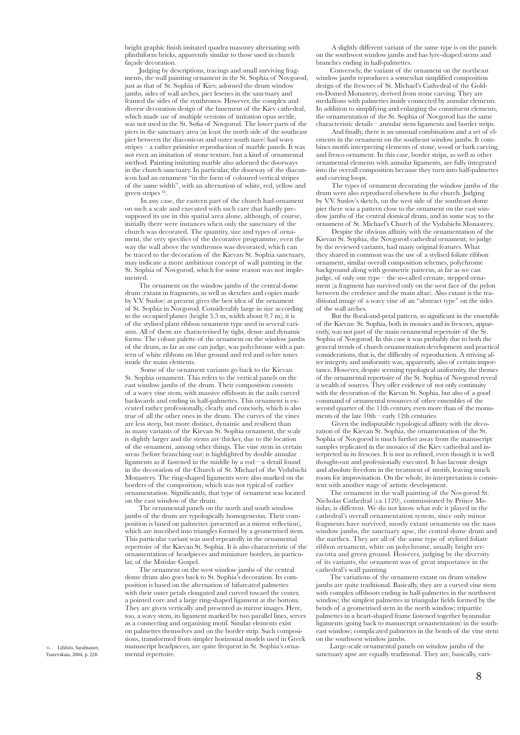bright graphic finish imitated quadra masonry alternating with plinthiform bricks, apparently similar to those used in church façade decoration.

Judging by descriptions, tracings and small surviving fragments, the wall painting ornament in the St. Sophia of Novgorod, just as that of St. Sophia of Kiev, adorned the drum window jambs, sides of wall arches, pier lesenes in the sanctuary and framed the sides of the synthronos. However, the complex and diverse decoration design of the basement of the Kiev cathedral, which made use of multiple versions of imitation opus sectile, was not used in the St. Sofia of Novgorod. The lower parts of the piers in the sanctuary area (at least the north side of the southeast pier between the diaconicon and outer south nave) had wavy stripes – a rather primitive reproduction of marble panels. It was not even an imitation of stone texture, but a kind of ornamental method. Painting imitating marble also adorned the doorways in the church sanctuary. In particular, the doorway of the diaconicon had an ornament "in the form of coloured vertical stripes of the same width", with an alternation of white, red, yellow and green stripes 35.

 In any case, the eastern part of the church had ornament on such a scale and executed with such care that hardly presupposed its use in this spatial area alone, although, of course, initially there were instances when only the sanctuary of the church was decorated. The quantity, size and types of ornament, the very specifics of the decorative programme, even the way the wall above the synthronos was decorated, which can be traced to the decoration of the Kievan St. Sophia sanctuary, may indicate a more ambitious concept of wall painting in the St. Sophia of Novgorod, which for some reason was not implemented.

The ornament on the window jambs of the central dome drum (extant in fragments, as well as sketches and copies made by V.V. Suslov) at present gives the best idea of the ornament of St. Sophia in Novgorod. Considerably large in size according to the occupied planes (height 3.5 m, width about 0.7 m), it is of the stylised plant ribbon ornament type used in several variants. All of them are characterised by tight, dense and dynamic forms. The colour palette of the ornament on the window jambs of the drum, as far as one can judge, was polychrome with a pattern of white ribbons on blue ground and red and ochre tones inside the main elements.

 Some of the ornament variants go back to the Kievan St. Sophia ornament. This refers to the vertical panels on the east window jambs of the drum. Their composition consists of a wavy vine stem, with massive offshoots in the axils curved backwards and ending in half-palmettes. This ornament is executed rather professionally, clearly and concisely, which is also true of all the other ones in the drum. The curves of the vines are less steep, but more distinct, dynamic and resilient than in many variants of the Kievan St. Sophia ornament, the scale is slightly larger and the stems are thicker, due to the location of the ornament, among other things. The vine stem in certain areas (before branching out) is highlighted by double annular ligaments as if fastened in the middle by a rod—a detail found in the decoration of the Church of St. Michael of the Vydubichi Monastery. The ring-shaped ligaments were also marked on the borders of the composition, which was not typical of earlier ornamentation. Significantly, that type of ornament was located on the east window of the drum.

The ornamental panels on the north and south window jambs of the drum are typologically homogeneous. Their composition is based on palmettes (presented as a mirror reflection), which are inscribed into triangles formed by a geometrised stem. This particular variant was used repeatedly in the ornamental repertoire of the Kievan St. Sophia. It is also characteristic of the ornamentation of headpieces and miniature borders, in particular, of the Mstislav Gospel.

The ornament on the west window jambs of the central dome drum also goes back to St. Sophia's decoration. Its composition is based on the alternation of bifurcated palmettes with their outer petals elongated and curved toward the center, a pointed core and a large ring-shaped ligament at the bottom. They are given vertically and presented as mirror images. Here, too, a wavy stem, its ligament marked by two parallel lines, serves as a connecting and organising motif. Similar elements exist on palmettes themselves and on the border strip. Such compositions, transformed from simpler horizontal models used in Greek manuscript headpieces, are quite frequent in St. Sophia's ornamental repertoire.

 A slightly different variant of the same type is on the panels on the southwest window jambs and has lyre-shaped stems and branches ending in half-palmettes.

Conversely, the variant of the ornament on the northeast window jambs reproduces a somewhat simplified composition design of the frescoes of St. Michael's Cathedral of the Golden-Domed Monastery, derived from stone carving. They are medallions with palmettes inside connected by annular elements. In addition to simplifying and enlarging the constituent elements, the ornamentation of the St. Sophia of Novgorod has the same characteristic details – annular stem ligaments and border strips.

And finally, there is an unusual combination and a set of elements in the ornament on the southeast window jambs. It combines motifs interpreting elements of stone, wood or bark carving, and fresco ornament. In this case, border strips, as well as other ornamental elements with annular ligaments, are fully integrated into the overall composition because they turn into half-palmettes and curving loops.

 The types of ornament decorating the window jambs of the drum were also reproduced elsewhere in the church. Judging by V.V. Suslov's sketch, on the west side of the southeast dome pier there was a pattern close to the ornament on the east window jambs of the central domical drum, and in some way to the ornament of St. Michael's Church of the Vydubichi Monastery.

 Despite the obvious affinity with the ornamentation of the Kievan St. Sophia, the Novgorod cathedral ornament, to judge by the reviewed variants, had many original features. What they shared in common was the use of a stylised foliate ribbon ornament, similar overall composition schemes, polychrome background along with geometric patterns, as far as we can judge, of only one type – the so-called crenate, stepped ornament (a fragment has survived only on the west face of the pylon between the credence and the main altar). Also extant is the traditional image of a wavy vine of an "abstract type" on the sides of the wall arches.

 But the floral-and-petal pattern, so significant in the ensemble of the Kievan St. Sophia, both in mosaics and in frescoes, apparently, was not part of the main ornamental repertoire of the St. Sophia of Novgorod. In this case it was probably due to both the general trends of church ornamentation development and practical considerations, that is, the difficulty of reproduction. A striving after integrity and uniformity was, apparently, also of certain importance. However, despite seeming typological uniformity, the themes of the ornamental repertoire of the St. Sophia of Novgorod reveal a wealth of sources. They offer evidence of not only continuity with the decoration of the Kievan St. Sophia, but also of a good command of ornamental resources of other ensembles of the second quarter of the 11th century, even more than of the monuments of the late  $10th$  – early  $12th$  centuries.

 Given the indisputable typological affinity with the decoration of the Kievan St. Sophia, the ornamentation of the St. Sophia of Novgorod is much further away from the manuscript samples replicated in the mosaics of the Kiev cathedral and interpreted in its frescoes. It is not as refined, even though it is well thought-out and professionally executed. It has laconic design and absolute freedom in the treatment of motifs, leaving much room for improvisation. On the whole, its interpretation is consistent with another stage of artistic development.

The ornament in the wall painting of the Novgorod St. Nicholas Cathedral (ca 1120), commissioned by Prince Mstislav, is different. We do not know what role it played in the cathedral's overall ornamentation system, since only minor fragments have survived, mostly extant ornaments on the naos window jambs, the sanctuary apse, the central dome drum and the narthex. They are all of the same type of stylised foliate ribbon ornament, white on polychrome, usually bright terracotta and green ground. However, judging by the diversity of its variants, the ornament was of great importance in the cathedral's wall painting.

The variations of the ornament extant on drum window jambs are quite traditional. Basically, they are a curved vine stem with complex offshoots ending in half-palmettes in the northwest window; the simplest palmettes in triangular fields formed by the bends of a geometrised stem in the north window; tripartite palmettes in a heart-shaped frame fastened together byannular ligaments (going back to manuscript ornamentation) in the southeast window; complicated palmettes in the bends of the vine stem on the southwest window jambs.

Large-scale ornamental panels on window jambs of the sanctuary apse are equally traditional. They are, basically, vari-

<sup>25.</sup> Lifshits, Sarabianov, Tsarevskaia, 2004, p. 228.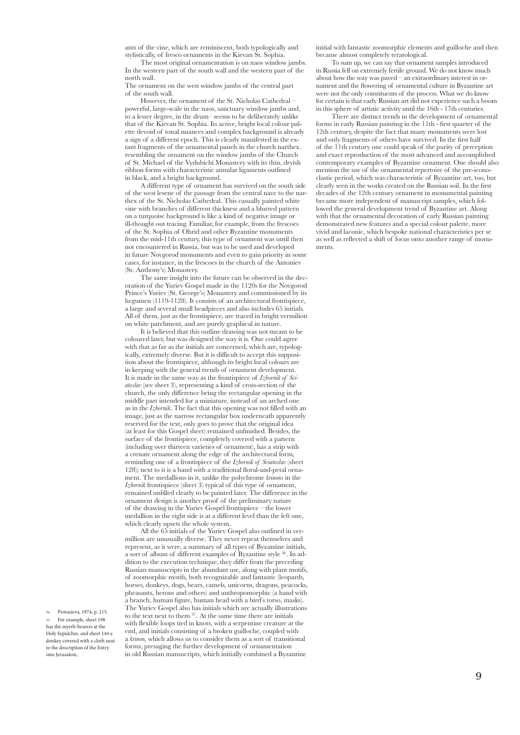ants of the vine, which are reminiscent, both typologically and stylistically, of fresco ornaments in the Kievan St. Sophia.

 The most original ornamentation is on naos window jambs. In the western part of the south wall and the western part of the north wall.

The ornament on the west window jambs of the central part of the south wall.

 However, the ornament of the St. Nicholas Cathedral – powerful, large-scale in the naos, sanctuary window jambs and, to a lesser degree, in the drum– seems to be deliberately unlike that of the Kievan St. Sophia. Its active, bright local colour palette devoid of tonal nuances and complex background is already a sign of a different epoch. This is clearly manifested in the extant fragments of the ornamental panels in the church narthex. resembling the ornament on the window jambs of the Church of St. Michael of the Vydubichi Monastery with its thin, dryish ribbon forms with characteristic annular ligaments outlined in black, and a bright background.

 A different type of ornament has survived on the south side of the west lesene of the passage from the central nave to the narthex of the St. Nicholas Cathedral. This casually painted white vine with branches of different thickness and a blurred pattern on a turquoise background is like a kind of negative image or ill-thought out tracing. Familiar, for example, from the frescoes of the St. Sophia of Ohrid and other Byzantine monuments from the mid-11th century, this type of ornament was until then not encountered in Russia, but was to be used and developed in future Novgorod monuments and even to gain priority in some cases, for instance, in the frescoes in the church of the Antoniev (St. Anthony's) Monastery.

 The same insight into the future can be observed in the decoration of the Yuriev Gospel made in the 1120s for the Novgorod Prince's Yuriev (St. George's) Monastery and commissioned by its hegumen (1119-1128). It consists of an architectural frontispiece, a large and several small headpieces and also includes 65 initials. All of them, just as the frontispiece, are traced in bright vermilion on white parchment, and are purely graphical in nature.

 It is believed that this outline drawing was not meant to be coloured later, but was designed the way it is. One could agree with that as far as the initials are concerned, which are, typologically, extremely diverse. But it is difficult to accept this supposition about the frontispiece, although its bright local colours are in keeping with the general trends of ornament development. It is made in the same way as the frontispiece of *Izbornik of Sviatoslav* (see sheet 3), representing a kind of cross-section of the church, the only difference being the rectangular opening in the middle part intended for a miniature, instead of an arched one as in the *Izbornik*. The fact that this opening was not filled with an image, just as the narrow rectangular box underneath apparently reserved for the text, only goes to prove that the original idea (at least for this Gospel sheet) remained unfinished. Besides, the surface of the frontispiece, completely covered with a pattern (including over thirteen varieties of ornament), has a strip with a crenate ornament along the edge of the architectural form, reminding one of a frontispiece of the *Izbornik of Sviatoslav* (sheet 128); next to it is a band with a traditional floral-and-petal ornament. The medallions in it, unlike the polychrome *krinons* in the *Izbornik* frontispiece (sheet 3) typical of this type of ornament, remained unfilled clearly to be painted later. The difference in the ornament design is another proof of the preliminary nature of the drawing in the Yuriev Gospel frontispiece – the lower medallion in the right side is at a different level than the left one, which clearly upsets the whole system.

 All the 65 initials of the Yuriev Gospel also outlined in vermillion are unusually diverse. They never repeat themselves and represent, as it were, a summary of all types of Byzantine initials, a sort of album of different examples of Byzantine style 36. In addition to the execution technique, they differ from the preceding Russian manuscripts in the abundant use, along with plant motifs, of zoomorphic motifs, both recognizable and fantastic (leopards, horses, donkeys, dogs, bears, camels, unicorns, dragons, peacocks, pheasants, herons and others) and anthropomorphic (a hand with a branch, human figure, human head with a bird's torso, masks). The Yuriev Gospel also has initials which are actually illustrations to the text next to them  $37$ . At the same time there are initials with flexible loops tied in knots, with a serpentine creature at the end, and initials consisting of a broken guilloche, coupled with a *krinon,* which allows us to consider them as a sort of transitional forms, presaging the further development of ornamentation in old Russian manuscripts, which initially combined a Byzantine

initial with fantastic zoomorphic elements and guilloche and then became almost completely teratological.

 To sum up, we can say that ornament samples introduced in Russia fell on extremely fertile ground. We do not know much about how the way was paved – an extraordinary interest in ornament and the flowering of ornamental culture in Byzantine art were not the only constituents of the process. What we do know for certain is that early Russian art did not experience such a boom in this sphere of artistic activity until the 16th - 17th centuries.

 There are distinct trends in the development of ornamental forms in early Russian painting in the 11th - first quarter of the 12th century, despite the fact that many monuments were lost and only fragments of others have survived. In the first half of the 11th century one could speak of the purity of perception and exact reproduction of the most advanced and accomplished contemporary examples of Byzantine ornament. One should also mention the use of the ornamental repertoire of the pre-iconoclastic period, which was characteristic of Byzantine art, too, but clearly seen in the works created on the Russian soil. In the first decades of the 12th century ornament in monumental painting became more independent of manuscript samples, which followed the general development trend of Byzantine art. Along with that the ornamental decoration of early Russian painting demonstrated new features and a special colour palette, more vivid and laconic, which bespoke national characteristics per se as well as reflected a shift of focus onto another range of monuments.

36. Protasieva, 1974, p. 215. For example, sheet 198 has the myrrh-bearers at the Holy Sepulchre, and sheet 144 a donkey covered with a cloth next to the description of the Entry into Jerusalem,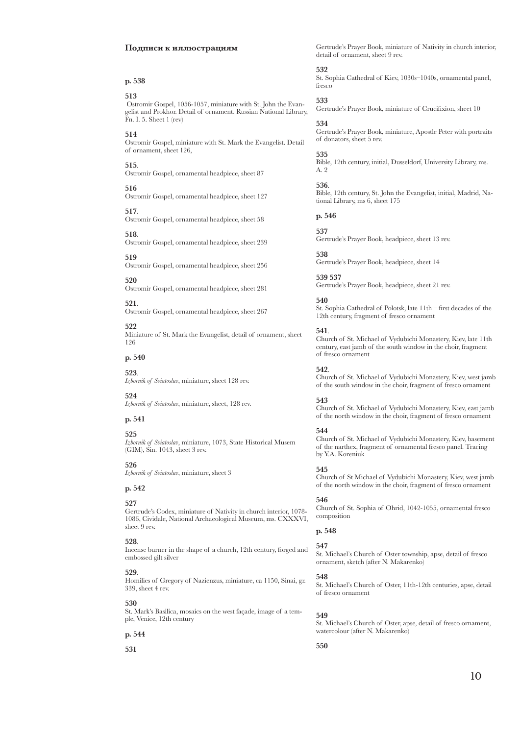#### **Подписи к иллюстрациям**

# **p. 538**

**513** Ostromir Gospel, 1056-1057, miniature with St. John the Evangelist and Prokhor. Detail of ornament. Russian National Library, Fn. I. 5. Sheet 1 (rev)

**514**

Ostromir Gospel, miniature with St. Mark the Evangelist. Detail of ornament, sheet 126,

**515**. Ostromir Gospel, ornamental headpiece, sheet 87

**516** Ostromir Gospel, ornamental headpiece, sheet 127

**517**. Ostromir Gospel, ornamental headpiece, sheet 58

**518**. Ostromir Gospel, ornamental headpiece, sheet 239

**519** Ostromir Gospel, ornamental headpiece, sheet 256

**520** Ostromir Gospel, ornamental headpiece, sheet 281

**521**. Ostromir Gospel, ornamental headpiece, sheet 267

**522** Miniature of St. Mark the Evangelist, detail of ornament, sheet 126

# **p. 540**

**523**. *Izbornik of Sviatoslav*, miniature, sheet 128 rev.

**524** *Izbornik of Sviatoslav*, miniature, sheet, 128 rev.

**p. 541**

# **525**

*Izbornik of Sviatoslav*, miniature, 1073, State Historical Musem (GIM), Sin. 1043, sheet 3 rev.

**526**

*Izbornik of Sviatoslav*, miniature, sheet 3

# **p. 542**

#### **527**

Gertrude's Codex, miniature of Nativity in church interior, 1078- 1086, Cividale, National Archaeological Museum, ms. CXXXVI, sheet 9 rev.

# **528**.

Incense burner in the shape of a church, 12th century, forged and embossed gilt silver

## **529**.

Homilies of Gregory of Nazienzus, miniature, ca 1150, Sinai, gr. 339, sheet 4 rev.

#### **530**

St. Mark's Basilica, mosaics on the west façade, image of a temple, Venice, 12th century

**p. 544**

**531**

Gertrude's Prayer Book, miniature of Nativity in church interior, detail of ornament, sheet 9 rev.

**532** St. Sophia Cathedral of Kiev, 1030s–1040s, ornamental panel, fresco

**533** Gertrude's Prayer Book, miniature of Crucifixion, sheet 10

**534** Gertrude's Prayer Book, miniature, Apostle Peter with portraits of donators, sheet 5 rev.

**535** Bible, 12th century, initial, Dusseldorf, University Library, ms. A. 2

**536**. Bible, 12th century, St. John the Evangelist, initial, Madrid, National Library, ms 6, sheet 175

**p. 546**

**537** Gertrude's Prayer Book, headpiece, sheet 13 rev.

**538** Gertrude's Prayer Book, headpiece, sheet 14

**539 537**  Gertrude's Prayer Book, headpiece, sheet 21 rev.

**540** St. Sophia Cathedral of Polotsk, late 11th – first decades of the 12th century, fragment of fresco ornament

#### **541**.

Church of St. Michael of Vydubichi Monastery, Kiev, late 11th century, east jamb of the south window in the choir, fragment of fresco ornament

## **542**.

Church of St. Michael of Vydubichi Monastery, Kiev, west jamb of the south window in the choir, fragment of fresco ornament

## **543**

Church of St. Michael of Vydubichi Monastery, Kiev, east jamb of the north window in the choir, fragment of fresco ornament

## **544**

Church of St. Michael of Vydubichi Monastery, Kiev, basement of the narthex, fragment of ornamental fresco panel. Tracing by Y.A. Koreniuk

#### **545**

Church of St Michael of Vydubichi Monastery, Kiev, west jamb of the north window in the choir, fragment of fresco ornament

## **546**

Church of St. Sophia of Ohrid, 1042-1055, ornamental fresco composition

# **p. 548**

**547**

St. Michael's Church of Oster township, apse, detail of fresco ornament, sketch (after N. Makarenko)

# **548**

St. Michael's Church of Oster, 11th-12th centuries, apse, detail of fresco ornament

## **549**

St. Michael's Church of Oster, apse, detail of fresco ornament, watercolour (after N. Makarenko)

**550**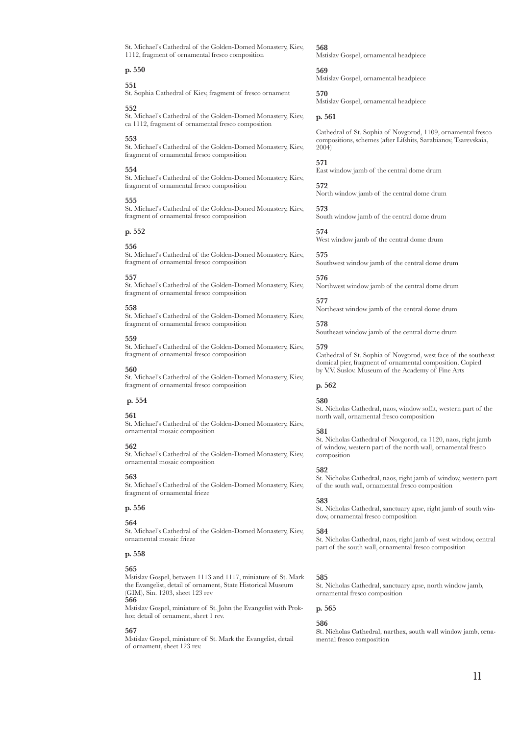St. Michael's Cathedral of the Golden-Domed Monastery, Kiev, 1112, fragment of ornamental fresco composition

# **p. 550**

**551**

St. Sophia Cathedral of Kiev, fragment of fresco ornament

#### **552**

St. Michael's Cathedral of the Golden-Domed Monastery, Kiev, ca 1112, fragment of ornamental fresco composition

#### **553**

St. Michael's Cathedral of the Golden-Domed Monastery, Kiev, fragment of ornamental fresco composition

#### **554**

St. Michael's Cathedral of the Golden-Domed Monastery, Kiev, fragment of ornamental fresco composition

#### **555**

St. Michael's Cathedral of the Golden-Domed Monastery, Kiev, fragment of ornamental fresco composition

## **p. 552**

## **556**

St. Michael's Cathedral of the Golden-Domed Monastery, Kiev, fragment of ornamental fresco composition

#### **557**

St. Michael's Cathedral of the Golden-Domed Monastery, Kiev, fragment of ornamental fresco composition

## **558**

St. Michael's Cathedral of the Golden-Domed Monastery, Kiev, fragment of ornamental fresco composition

### **559**

St. Michael's Cathedral of the Golden-Domed Monastery, Kiev, fragment of ornamental fresco composition

## **560**

St. Michael's Cathedral of the Golden-Domed Monastery, Kiev, fragment of ornamental fresco composition

# **p. 554**

#### **561**

St. Michael's Cathedral of the Golden-Domed Monastery, Kiev, ornamental mosaic composition

#### **562**

St. Michael's Cathedral of the Golden-Domed Monastery, Kiev, ornamental mosaic composition

## **563**

St. Michael's Cathedral of the Golden-Domed Monastery, Kiev, fragment of ornamental frieze

#### **p. 556**

#### **564**

St. Michael's Cathedral of the Golden-Domed Monastery, Kiev, ornamental mosaic frieze

## **p. 558**

#### **565**

Mstislav Gospel, between 1113 and 1117, miniature of St. Mark the Evangelist, detail of ornament, State Historical Museum (GIM), Sin. 1203, sheet 123 rev **566**

Mstislav Gospel, miniature of St. John the Evangelist with Prokhor, detail of ornament, sheet 1 rev.

#### **567**

Mstislav Gospel, miniature of St. Mark the Evangelist, detail of ornament, sheet 123 rev.

## **568**

Mstislav Gospel, ornamental headpiece

## **569**

Mstislav Gospel, ornamental headpiece

**570** Mstislav Gospel, ornamental headpiece

## **p. 561**

Cathedral of St. Sophia of Novgorod, 1109, ornamental fresco compositions, schemes (after Lifshits, Sarabianov, Tsarevskaia, 2004)

# **571**

East window jamb of the central dome drum

**572** North window jamb of the central dome drum

**573** South window jamb of the central dome drum

**574** West window jamb of the central dome drum

**575** Southwest window jamb of the central dome drum

# **576**

Northwest window jamb of the central dome drum

## **577**

Northeast window jamb of the central dome drum

**578** Southeast window jamb of the central dome drum

# **579**

Cathedral of St. Sophia of Novgorod, west face of the southeast domical pier, fragment of ornamental composition. Copied by V.V. Suslov. Museum of the Academy of Fine Arts

#### **p. 562**

# **580**

St. Nicholas Cathedral, naos, window soffit, western part of the north wall, ornamental fresco composition

#### **581**

St. Nicholas Cathedral of Novgorod, ca 1120, naos, right jamb of window, western part of the north wall, ornamental fresco composition

#### **582**

St. Nicholas Cathedral, naos, right jamb of window, western part of the south wall, ornamental fresco composition

#### **583**

St. Nicholas Cathedral, sanctuary apse, right jamb of south window, ornamental fresco composition

#### **584**

St. Nicholas Cathedral, naos, right jamb of west window, central part of the south wall, ornamental fresco composition

#### **585**

St. Nicholas Cathedral, sanctuary apse, north window jamb, ornamental fresco composition

**p. 565**

#### **586**

St. Nicholas Cathedral, narthex, south wall window jamb, ornamental fresco composition